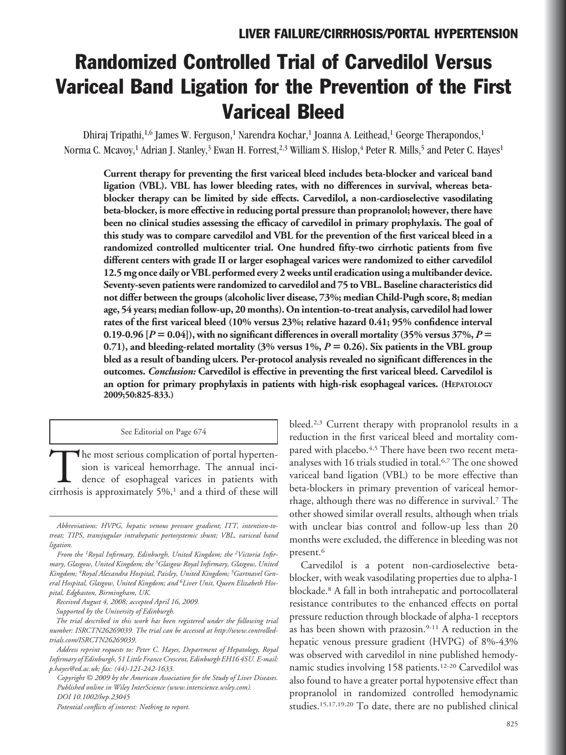# Randomized Controlled Trial of Carvedilol Versus Variceal Band Ligation for the Prevention of the First Variceal Bleed

Dhiraj Tripathi,<sup>1,6</sup> James W. Ferguson,<sup>1</sup> Narendra Kochar,<sup>1</sup> Joanna A. Leithead,<sup>1</sup> George Therapondos,<sup>1</sup> Norma C. Mcavoy,<sup>1</sup> Adrian J. Stanley,<sup>3</sup> Ewan H. Forrest,<sup>2,3</sup> William S. Hislop,<sup>4</sup> Peter R. Mills,<sup>5</sup> and Peter C. Hayes<sup>1</sup>

**Current therapy for preventing the first variceal bleed includes beta-blocker and variceal band ligation (VBL). VBL has lower bleeding rates, with no differences in survival, whereas betablocker therapy can be limited by side effects. Carvedilol, a non-cardioselective vasodilating beta-blocker, is more effective in reducing portal pressure than propranolol; however, there have been no clinical studies assessing the efficacy of carvedilol in primary prophylaxis. The goal of this study was to compare carvedilol and VBL for the prevention of the first variceal bleed in a randomized controlled multicenter trial. One hundred fifty-two cirrhotic patients from five different centers with grade II or larger esophageal varices were randomized to either carvedilol 12.5 mg once daily or VBL performed every 2 weeks until eradication using a multibander device. Seventy-seven patients were randomized to carvedilol and 75 to VBL. Baseline characteristics did not differ between the groups (alcoholic liver disease, 73%; median Child-Pugh score, 8; median age, 54 years; median follow-up, 20 months). On intention-to-treat analysis, carvedilol had lower rates of the first variceal bleed (10% versus 23%; relative hazard 0.41; 95% confidence interval** 0.19-0.96  $[P = 0.04]$ , with no significant differences in overall mortality (35% versus 37%,  $P =$ **0.71), and bleeding-related mortality (3% versus 1%,** *P* **0.26). Six patients in the VBL group bled as a result of banding ulcers. Per-protocol analysis revealed no significant differences in the outcomes.** *Conclusion:* **Carvedilol is effective in preventing the first variceal bleed. Carvedilol is an option for primary prophylaxis in patients with high-risk esophageal varices. (HEPATOLOGY 2009;50:825-833.)**

See Editorial on Page 674

The most serious complication of portal hypertension is variceal hemorrhage. The annual incidence of esophageal varices in patients with cirrhosis is approximately 5%,<sup>1</sup> and a third of these will sion is variceal hemorrhage. The annual incidence of esophageal varices in patients with

*Received August 4, 2008; accepted April 16, 2009.*

*Supported by the University of Edinburgh.*

bleed.2,3 Current therapy with propranolol results in a reduction in the first variceal bleed and mortality compared with placebo.<sup>4,5</sup> There have been two recent metaanalyses with 16 trials studied in total.6,7 The one showed variceal band ligation (VBL) to be more effective than beta-blockers in primary prevention of variceal hemorrhage, although there was no difference in survival.7 The other showed similar overall results, although when trials with unclear bias control and follow-up less than 20 months were excluded, the difference in bleeding was not present.6

Carvedilol is a potent non-cardioselective betablocker, with weak vasodilating properties due to alpha-1 blockade.8 A fall in both intrahepatic and portocollateral resistance contributes to the enhanced effects on portal pressure reduction through blockade of alpha-1 receptors as has been shown with prazosin.9-11 A reduction in the hepatic venous pressure gradient (HVPG) of 8%-43% was observed with carvedilol in nine published hemodynamic studies involving 158 patients.<sup>12-20</sup> Carvedilol was also found to have a greater portal hypotensive effect than propranolol in randomized controlled hemodynamic studies.15,17,19,20 To date, there are no published clinical

*Abbreviations: HVPG, hepatic venous pressure gradient; ITT, intention-totreat; TIPS, transjugular intrahepatic portosystemic shunt; VBL, variceal band ligation.*

*From the 1Royal Infirmary, Edinburgh, United Kingdom; the 2Victoria Infirmary, Glasgow, United Kingdom; the 3Glasgow Royal Infirmary, Glasgow, United Kingdom; 4Royal Alexandra Hospital, Paisley, United Kingdom; 5Gartnavel General Hospital, Glasgow, United Kingdom; and 6Liver Unit, Queen Elizabeth Hospital, Edgbaston, Birmingham, UK.*

*The trial described in this work has been registered under the following trial number: ISRCTN26269039. The trial can be accessed at http://www.controlledtrials.com/ISRCTN26269039.*

*Address reprint requests to: Peter C. Hayes, Department of Hepatology, Royal Infirmary of Edinburgh, 51 Little France Crescent, Edinburgh EH16 4SU. E-mail: p.hayes@ed.ac.uk; fax: (44)-121-242-1633.*

*Copyright © 2009 by the American Association for the Study of Liver Diseases. Published online in Wiley InterScience (www.interscience.wiley.com). DOI 10.1002/hep.23045*

*Potential conflicts of interest: Nothing to report.*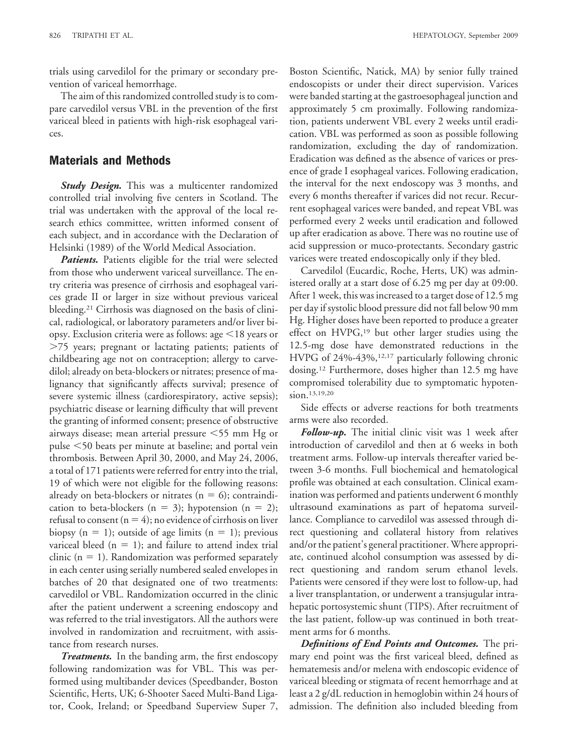trials using carvedilol for the primary or secondary prevention of variceal hemorrhage.

The aim of this randomized controlled study is to compare carvedilol versus VBL in the prevention of the first variceal bleed in patients with high-risk esophageal varices.

## **Materials and Methods**

**Study Design.** This was a multicenter randomized controlled trial involving five centers in Scotland. The trial was undertaken with the approval of the local research ethics committee, written informed consent of each subject, and in accordance with the Declaration of Helsinki (1989) of the World Medical Association.

**Patients.** Patients eligible for the trial were selected from those who underwent variceal surveillance. The entry criteria was presence of cirrhosis and esophageal varices grade II or larger in size without previous variceal bleeding.21 Cirrhosis was diagnosed on the basis of clinical, radiological, or laboratory parameters and/or liver biopsy. Exclusion criteria were as follows: age  $\leq$ 18 years or -75 years; pregnant or lactating patients; patients of childbearing age not on contraception; allergy to carvedilol; already on beta-blockers or nitrates; presence of malignancy that significantly affects survival; presence of severe systemic illness (cardiorespiratory, active sepsis); psychiatric disease or learning difficulty that will prevent the granting of informed consent; presence of obstructive airways disease; mean arterial pressure 55 mm Hg or pulse 50 beats per minute at baseline; and portal vein thrombosis. Between April 30, 2000, and May 24, 2006, a total of 171 patients were referred for entry into the trial, 19 of which were not eligible for the following reasons: already on beta-blockers or nitrates ( $n = 6$ ); contraindication to beta-blockers ( $n = 3$ ); hypotension ( $n = 2$ ); refusal to consent  $(n = 4)$ ; no evidence of cirrhosis on liver biopsy ( $n = 1$ ); outside of age limits ( $n = 1$ ); previous variceal bleed ( $n = 1$ ); and failure to attend index trial clinic ( $n = 1$ ). Randomization was performed separately in each center using serially numbered sealed envelopes in batches of 20 that designated one of two treatments: carvedilol or VBL. Randomization occurred in the clinic after the patient underwent a screening endoscopy and was referred to the trial investigators. All the authors were involved in randomization and recruitment, with assistance from research nurses.

*Treatments.* In the banding arm, the first endoscopy following randomization was for VBL. This was performed using multibander devices (Speedbander, Boston Scientific, Herts, UK; 6-Shooter Saeed Multi-Band Ligator, Cook, Ireland; or Speedband Superview Super 7,

Boston Scientific, Natick, MA) by senior fully trained endoscopists or under their direct supervision. Varices were banded starting at the gastroesophageal junction and approximately 5 cm proximally. Following randomization, patients underwent VBL every 2 weeks until eradication. VBL was performed as soon as possible following randomization, excluding the day of randomization. Eradication was defined as the absence of varices or presence of grade I esophageal varices. Following eradication, the interval for the next endoscopy was 3 months, and every 6 months thereafter if varices did not recur. Recurrent esophageal varices were banded, and repeat VBL was performed every 2 weeks until eradication and followed up after eradication as above. There was no routine use of acid suppression or muco-protectants. Secondary gastric varices were treated endoscopically only if they bled.

Carvedilol (Eucardic, Roche, Herts, UK) was administered orally at a start dose of 6.25 mg per day at 09:00. After 1 week, this was increased to a target dose of 12.5 mg per day if systolic blood pressure did not fall below 90 mm Hg. Higher doses have been reported to produce a greater effect on HVPG,<sup>19</sup> but other larger studies using the 12.5-mg dose have demonstrated reductions in the HVPG of 24%-43%,<sup>12,17</sup> particularly following chronic dosing.12 Furthermore, doses higher than 12.5 mg have compromised tolerability due to symptomatic hypotension.13,19,20

Side effects or adverse reactions for both treatments arms were also recorded.

*Follow-up.* The initial clinic visit was 1 week after introduction of carvedilol and then at 6 weeks in both treatment arms. Follow-up intervals thereafter varied between 3-6 months. Full biochemical and hematological profile was obtained at each consultation. Clinical examination was performed and patients underwent 6 monthly ultrasound examinations as part of hepatoma surveillance. Compliance to carvedilol was assessed through direct questioning and collateral history from relatives and/or the patient's general practitioner. Where appropriate, continued alcohol consumption was assessed by direct questioning and random serum ethanol levels. Patients were censored if they were lost to follow-up, had a liver transplantation, or underwent a transjugular intrahepatic portosystemic shunt (TIPS). After recruitment of the last patient, follow-up was continued in both treatment arms for 6 months.

*Definitions of End Points and Outcomes.* The primary end point was the first variceal bleed, defined as hematemesis and/or melena with endoscopic evidence of variceal bleeding or stigmata of recent hemorrhage and at least a 2 g/dL reduction in hemoglobin within 24 hours of admission. The definition also included bleeding from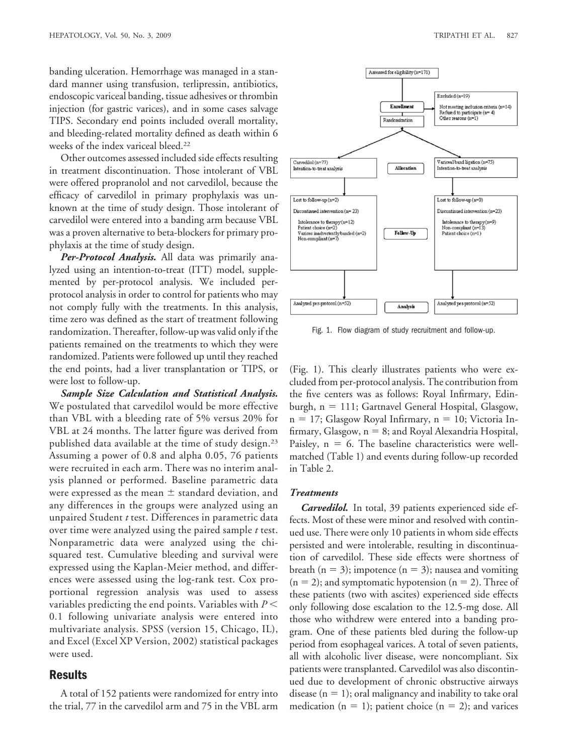banding ulceration. Hemorrhage was managed in a standard manner using transfusion, terlipressin, antibiotics, endoscopic variceal banding, tissue adhesives or thrombin injection (for gastric varices), and in some cases salvage TIPS. Secondary end points included overall mortality, and bleeding-related mortality defined as death within 6 weeks of the index variceal bleed.22

Other outcomes assessed included side effects resulting in treatment discontinuation. Those intolerant of VBL were offered propranolol and not carvedilol, because the efficacy of carvedilol in primary prophylaxis was unknown at the time of study design. Those intolerant of carvedilol were entered into a banding arm because VBL was a proven alternative to beta-blockers for primary prophylaxis at the time of study design.

*Per-Protocol Analysis.* All data was primarily analyzed using an intention-to-treat (ITT) model, supplemented by per-protocol analysis. We included perprotocol analysis in order to control for patients who may not comply fully with the treatments. In this analysis, time zero was defined as the start of treatment following randomization. Thereafter, follow-up was valid only if the patients remained on the treatments to which they were randomized. Patients were followed up until they reached the end points, had a liver transplantation or TIPS, or were lost to follow-up.

*Sample Size Calculation and Statistical Analysis.* We postulated that carvedilol would be more effective than VBL with a bleeding rate of 5% versus 20% for VBL at 24 months. The latter figure was derived from published data available at the time of study design.23 Assuming a power of 0.8 and alpha 0.05, 76 patients were recruited in each arm. There was no interim analysis planned or performed. Baseline parametric data were expressed as the mean  $\pm$  standard deviation, and any differences in the groups were analyzed using an unpaired Student *t* test. Differences in parametric data over time were analyzed using the paired sample *t* test. Nonparametric data were analyzed using the chisquared test. Cumulative bleeding and survival were expressed using the Kaplan-Meier method, and differences were assessed using the log-rank test. Cox proportional regression analysis was used to assess variables predicting the end points. Variables with *P* 0.1 following univariate analysis were entered into multivariate analysis. SPSS (version 15, Chicago, IL), and Excel (Excel XP Version, 2002) statistical packages were used.

### **Results**

A total of 152 patients were randomized for entry into the trial, 77 in the carvedilol arm and 75 in the VBL arm



Fig. 1. Flow diagram of study recruitment and follow-up.

(Fig. 1). This clearly illustrates patients who were excluded from per-protocol analysis. The contribution from the five centers was as follows: Royal Infirmary, Edinburgh,  $n = 111$ ; Gartnavel General Hospital, Glasgow,  $n = 17$ ; Glasgow Royal Infirmary,  $n = 10$ ; Victoria Infirmary, Glasgow,  $n = 8$ ; and Royal Alexandria Hospital, Paisley,  $n = 6$ . The baseline characteristics were wellmatched (Table 1) and events during follow-up recorded in Table 2.

#### *Treatments*

*Carvedilol.* In total, 39 patients experienced side effects. Most of these were minor and resolved with continued use. There were only 10 patients in whom side effects persisted and were intolerable, resulting in discontinuation of carvedilol. These side effects were shortness of breath ( $n = 3$ ); impotence ( $n = 3$ ); nausea and vomiting  $(n = 2)$ ; and symptomatic hypotension  $(n = 2)$ . Three of these patients (two with ascites) experienced side effects only following dose escalation to the 12.5-mg dose. All those who withdrew were entered into a banding program. One of these patients bled during the follow-up period from esophageal varices. A total of seven patients, all with alcoholic liver disease, were noncompliant. Six patients were transplanted. Carvedilol was also discontinued due to development of chronic obstructive airways disease  $(n = 1)$ ; oral malignancy and inability to take oral medication ( $n = 1$ ); patient choice ( $n = 2$ ); and varices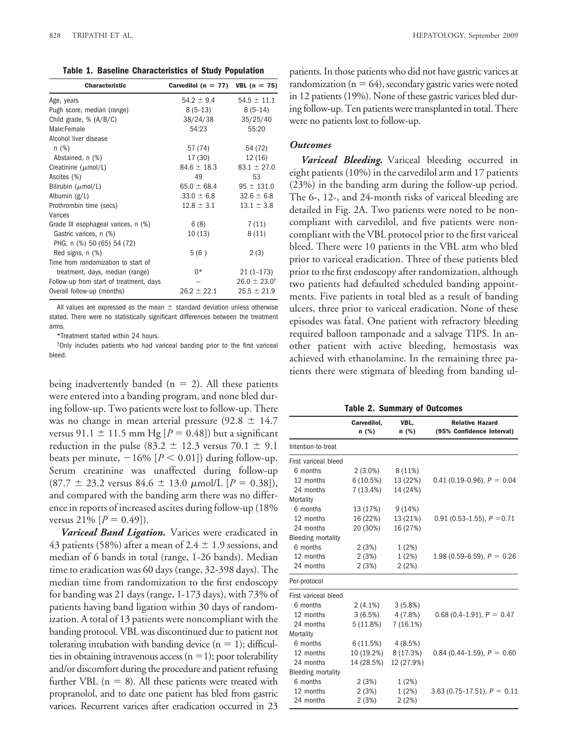**Table 1. Baseline Characteristics of Study Population**

| <b>Characteristic</b>                   | Carvedilol ( $n = 77$ ) VBL ( $n = 75$ ) |                           |
|-----------------------------------------|------------------------------------------|---------------------------|
| Age, years                              | $54.2 \pm 9.4$                           | $54.5 \pm 11.1$           |
| Pugh score, median (range)              | $8(5-13)$                                | $8(5-14)$                 |
| Child grade, $% (A/B/C)$                | 38/24/38                                 | 35/25/40                  |
| Male:Female                             | 54:23                                    | 55:20                     |
| Alcohol liver disease                   |                                          |                           |
| n(%)                                    | 57 (74)                                  | 54 (72)                   |
| Abstained, n (%)                        | 17 (30)                                  | 12 (16)                   |
| Creatinine $(\mu \text{mol/L})$         | $84.6 \pm 18.3$                          | $83.1 \pm 27.0$           |
| Ascites (%)                             | 49                                       | 53                        |
| Bilirubin ( $\mu$ mol/L)                | $65.0 \pm 68.4$                          | $95 \pm 131.0$            |
| Albumin (g/L)                           | $33.0 \pm 6.8$                           | $32.6 \pm 6.8$            |
| Prothrombin time (secs)                 | $12.8 \pm 3.1$                           | $13.1 \pm 3.8$            |
| Varices                                 |                                          |                           |
| Grade III esophageal varices, n (%)     | 6(8)                                     | 7(11)                     |
| Gastric varices, n (%)                  | 10(13)                                   | 8(11)                     |
| PHG, n (%) 50 (65) 54 (72)              |                                          |                           |
| Red signs, n (%)                        | 5(6)                                     | 2(3)                      |
| Time from randomization to start of     |                                          |                           |
| treatment, days, median (range)         | 0*                                       | $21(1-173)$               |
| Follow-up from start of treatment, days |                                          | $26.0 \pm 23.0^{\dagger}$ |
| Overall follow-up (months)              | $26.2 \pm 22.1$                          | $25.5 \pm 21.9$           |

All values are expressed as the mean  $\pm$  standard deviation unless otherwise stated. There were no statistically significant differences between the treatment arms.

\*Treatment started within 24 hours.

†Only includes patients who had variceal banding prior to the first variceal bleed.

being inadvertently banded ( $n = 2$ ). All these patients were entered into a banding program, and none bled during follow-up. Two patients were lost to follow-up. There was no change in mean arterial pressure  $(92.8 \pm 14.7)$ versus 91.1  $\pm$  11.5 mm Hg [ $P = 0.48$ ]) but a significant reduction in the pulse (83.2  $\pm$  12.3 versus 70.1  $\pm$  9.1 beats per minute,  $-16\%$  [ $P < 0.01$ ]) during follow-up. Serum creatinine was unaffected during follow-up  $(87.7 \pm 23.2 \text{ versus } 84.6 \pm 13.0 \text{ } \mu \text{mol/L } [P = 0.38]),$ and compared with the banding arm there was no difference in reports of increased ascites during follow-up (18% versus  $21\%$   $[P = 0.49]$ .

*Variceal Band Ligation.* Varices were eradicated in 43 patients (58%) after a mean of 2.4  $\pm$  1.9 sessions, and median of 6 bands in total (range, 1-26 bands). Median time to eradication was 60 days (range, 32-398 days). The median time from randomization to the first endoscopy for banding was 21 days (range, 1-173 days), with 73% of patients having band ligation within 30 days of randomization. A total of 13 patients were noncompliant with the banding protocol. VBL was discontinued due to patient not tolerating intubation with banding device  $(n = 1)$ ; difficulties in obtaining intravenous access  $(n = 1)$ ; poor tolerability and/or discomfort during the procedure and patient refusing further VBL  $(n = 8)$ . All these patients were treated with propranolol, and to date one patient has bled from gastric varices. Recurrent varices after eradication occurred in 23

patients. In those patients who did not have gastric varices at randomization ( $n = 64$ ), secondary gastric varies were noted in 12 patients (19%). None of these gastric varices bled during follow-up. Ten patients were transplanted in total. There were no patients lost to follow-up.

#### *Outcomes*

*Variceal Bleeding.* Variceal bleeding occurred in eight patients (10%) in the carvedilol arm and 17 patients (23%) in the banding arm during the follow-up period. The 6-, 12-, and 24-month risks of variceal bleeding are detailed in Fig. 2A. Two patients were noted to be noncompliant with carvedilol, and five patients were noncompliant with the VBL protocol prior to the first variceal bleed. There were 10 patients in the VBL arm who bled prior to variceal eradication. Three of these patients bled prior to the first endoscopy after randomization, although two patients had defaulted scheduled banding appointments. Five patients in total bled as a result of banding ulcers, three prior to variceal eradication. None of these episodes was fatal. One patient with refractory bleeding required balloon tamponade and a salvage TIPS. In another patient with active bleeding, hemostasis was achieved with ethanolamine. In the remaining three patients there were stigmata of bleeding from banding ul-

**Table 2. Summary of Outcomes**

|                           | Carvedilol,<br>n(%) | VBL,<br>n(%) | <b>Relative Hazard</b><br>(95% Confidence Interval) |
|---------------------------|---------------------|--------------|-----------------------------------------------------|
| Intention-to-treat        |                     |              |                                                     |
| First variceal bleed      |                     |              |                                                     |
| 6 months                  | $2(3.0\%)$          | $8(11\%)$    |                                                     |
| 12 months                 | 6(10.5%)            | 13 (22%)     | 0.41 (0.19-0.96), $P = 0.04$                        |
| 24 months                 | 7 (13.4%)           | 14 (24%)     |                                                     |
| Mortality                 |                     |              |                                                     |
| 6 months                  | 13 (17%)            | 9(14%)       |                                                     |
| 12 months                 | 16 (22%)            | 13 (21%)     | 0.91 (0.53-1.55), $P = 0.71$                        |
| 24 months                 | 20 (30%)            | 16 (27%)     |                                                     |
| <b>Bleeding mortality</b> |                     |              |                                                     |
| 6 months                  | 2(3%)               | 1(2%)        |                                                     |
| 12 months                 | 2(3%)               | 1(2%)        | 1.98 (0.59–6.59), $P = 0.26$                        |
| 24 months                 | 2(3%)               | 2(2%)        |                                                     |
| Per-protocol              |                     |              |                                                     |
| First variceal bleed      |                     |              |                                                     |
| 6 months                  | $2(4.1\%)$          | 3(5.8%)      |                                                     |
| 12 months                 | 3(6.5%)             | 4 (7.8%)     | $0.68(0.4-1.91), P = 0.47$                          |
| 24 months                 | 5(11.8%)            | $7(16.1\%)$  |                                                     |
| Mortality                 |                     |              |                                                     |
| 6 months                  | 6(11.5%)            | 4(8.5%)      |                                                     |
| 12 months                 | 10 (19.2%)          | 8 (17.3%)    | $0.84$ (0.44-1.59), $P = 0.60$                      |
| 24 months                 | 14 (28.5%)          | 12 (27.9%)   |                                                     |
| <b>Bleeding mortality</b> |                     |              |                                                     |
| 6 months                  | 2(3%)               | 1(2%)        |                                                     |
| 12 months                 | 2(3%)               | 1(2%)        | $3.63$ (0.75-17.51), $P = 0.11$                     |
| 24 months                 | 2(3%)               | 2(2%)        |                                                     |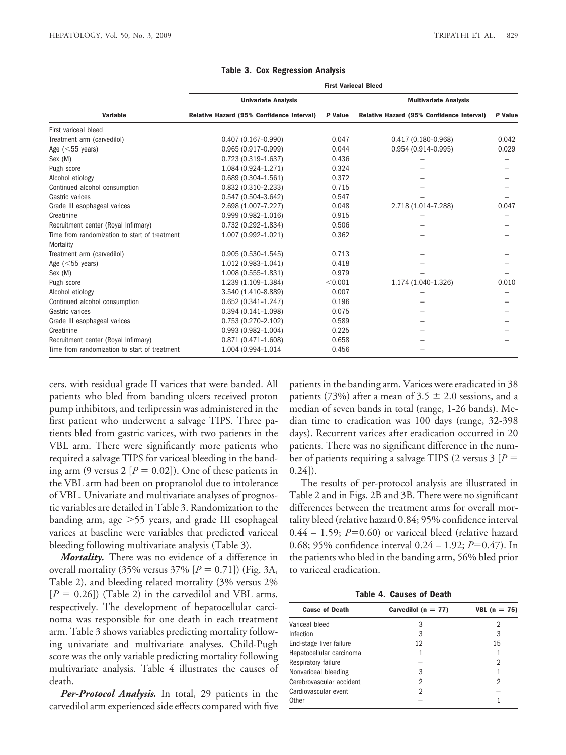|                                               | <b>First Variceal Bleed</b>               |                              |                                           |         |  |
|-----------------------------------------------|-------------------------------------------|------------------------------|-------------------------------------------|---------|--|
|                                               | <b>Univariate Analysis</b>                | <b>Multivariate Analysis</b> |                                           |         |  |
| <b>Variable</b>                               | Relative Hazard (95% Confidence Interval) | P Value                      | Relative Hazard (95% Confidence Interval) | P Value |  |
| First variceal bleed                          |                                           |                              |                                           |         |  |
| Treatment arm (carvedilol)                    | $0.407(0.167 - 0.990)$                    | 0.047                        | $0.417(0.180 - 0.968)$                    | 0.042   |  |
| Age $(<55$ years)                             | $0.965(0.917-0.999)$                      | 0.044                        | $0.954(0.914 - 0.995)$                    | 0.029   |  |
| Sex (M)                                       | $0.723(0.319-1.637)$                      | 0.436                        |                                           |         |  |
| Pugh score                                    | 1.084 (0.924-1.271)                       | 0.324                        |                                           |         |  |
| Alcohol etiology                              | $0.689(0.304 - 1.561)$                    | 0.372                        |                                           |         |  |
| Continued alcohol consumption                 | $0.832(0.310 - 2.233)$                    | 0.715                        |                                           |         |  |
| Gastric varices                               | $0.547(0.504 - 3.642)$                    | 0.547                        |                                           |         |  |
| Grade III esophageal varices                  | 2.698 (1.007-7.227)                       | 0.048                        | 2.718 (1.014-7.288)                       | 0.047   |  |
| Creatinine                                    | $0.999(0.982 - 1.016)$                    | 0.915                        |                                           |         |  |
| Recruitment center (Royal Infirmary)          | $0.732(0.292 - 1.834)$                    | 0.506                        |                                           |         |  |
| Time from randomization to start of treatment | 1.007 (0.992-1.021)                       | 0.362                        |                                           |         |  |
| Mortality                                     |                                           |                              |                                           |         |  |
| Treatment arm (carvedilol)                    | $0.905(0.530-1.545)$                      | 0.713                        |                                           |         |  |
| Age $(<55$ years)                             | $1.012(0.983 - 1.041)$                    | 0.418                        |                                           |         |  |
| Sex (M)                                       | $1.008(0.555 - 1.831)$                    | 0.979                        |                                           |         |  |
| Pugh score                                    | 1.239 (1.109-1.384)                       | < 0.001                      | 1.174 (1.040-1.326)                       | 0.010   |  |
| Alcohol etiology                              | 3.540 (1.410-8.889)                       | 0.007                        |                                           |         |  |
| Continued alcohol consumption                 | $0.652(0.341 - 1.247)$                    | 0.196                        |                                           |         |  |
| Gastric varices                               | $0.394(0.141 - 1.098)$                    | 0.075                        |                                           |         |  |
| Grade III esophageal varices                  | $0.753(0.270 - 2.102)$                    | 0.589                        |                                           |         |  |
| Creatinine                                    | $0.993(0.982 - 1.004)$                    | 0.225                        |                                           |         |  |
| Recruitment center (Royal Infirmary)          | $0.871(0.471 - 1.608)$                    | 0.658                        |                                           |         |  |
| Time from randomization to start of treatment | 1.004 (0.994-1.014                        | 0.456                        |                                           |         |  |

**Table 3. Cox Regression Analysis**

cers, with residual grade II varices that were banded. All patients who bled from banding ulcers received proton pump inhibitors, and terlipressin was administered in the first patient who underwent a salvage TIPS. Three patients bled from gastric varices, with two patients in the VBL arm. There were significantly more patients who required a salvage TIPS for variceal bleeding in the banding arm (9 versus 2  $[P = 0.02]$ ). One of these patients in the VBL arm had been on propranolol due to intolerance of VBL. Univariate and multivariate analyses of prognostic variables are detailed in Table 3. Randomization to the banding arm, age >55 years, and grade III esophageal varices at baseline were variables that predicted variceal bleeding following multivariate analysis (Table 3).

*Mortality.* There was no evidence of a difference in overall mortality (35% versus  $37\%$  [ $P = 0.71$ ]) (Fig. 3A, Table 2), and bleeding related mortality (3% versus 2%  $[P = 0.26]$ ) (Table 2) in the carvedilol and VBL arms, respectively. The development of hepatocellular carcinoma was responsible for one death in each treatment arm. Table 3 shows variables predicting mortality following univariate and multivariate analyses. Child-Pugh score was the only variable predicting mortality following multivariate analysis. Table 4 illustrates the causes of death.

*Per-Protocol Analysis.* In total, 29 patients in the carvedilol arm experienced side effects compared with five patients in the banding arm. Varices were eradicated in 38 patients (73%) after a mean of 3.5  $\pm$  2.0 sessions, and a median of seven bands in total (range, 1-26 bands). Median time to eradication was 100 days (range, 32-398 days). Recurrent varices after eradication occurred in 20 patients. There was no significant difference in the number of patients requiring a salvage TIPS (2 versus 3 [*P* 0.24]).

The results of per-protocol analysis are illustrated in Table 2 and in Figs. 2B and 3B. There were no significant differences between the treatment arms for overall mortality bleed (relative hazard 0.84; 95% confidence interval  $0.44 - 1.59$ ;  $P=0.60$ ) or variceal bleed (relative hazard 0.68; 95% confidence interval 0.24 – 1.92; *P*=0.47). In the patients who bled in the banding arm, 56% bled prior to variceal eradication.

**Table 4. Causes of Death**

| <b>Cause of Death</b>    | Carvedilol ( $n = 77$ ) | <b>VBL</b> ( $n = 75$ ) |
|--------------------------|-------------------------|-------------------------|
| Variceal bleed           | 3                       | 2                       |
| Infection                | 3                       | 3                       |
| End-stage liver failure  | 12                      | 15                      |
| Hepatocellular carcinoma |                         |                         |
| Respiratory failure      |                         | 2                       |
| Nonvariceal bleeding     | 3                       |                         |
| Cerebrovascular accident | 2                       | 2                       |
| Cardiovascular event     | 2                       |                         |
| Other                    |                         |                         |
|                          |                         |                         |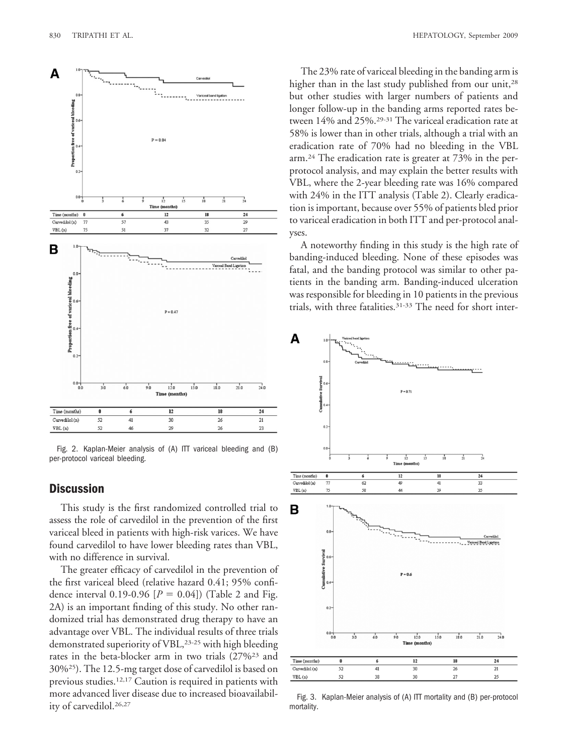

Fig. 2. Kaplan-Meier analysis of (A) ITT variceal bleeding and (B) per-protocol variceal bleeding.

# **Discussion**

This study is the first randomized controlled trial to assess the role of carvedilol in the prevention of the first variceal bleed in patients with high-risk varices. We have found carvedilol to have lower bleeding rates than VBL, with no difference in survival.

The greater efficacy of carvedilol in the prevention of the first variceal bleed (relative hazard 0.41; 95% confidence interval 0.19-0.96  $[P = 0.04]$ ) (Table 2 and Fig. 2A) is an important finding of this study. No other randomized trial has demonstrated drug therapy to have an advantage over VBL. The individual results of three trials demonstrated superiority of VBL,<sup>23-25</sup> with high bleeding rates in the beta-blocker arm in two trials (27%23 and 30%25). The 12.5-mg target dose of carvedilol is based on previous studies.12,17 Caution is required in patients with more advanced liver disease due to increased bioavailability of carvedilol.26,27

The 23% rate of variceal bleeding in the banding arm is higher than in the last study published from our unit,<sup>28</sup> but other studies with larger numbers of patients and longer follow-up in the banding arms reported rates between 14% and 25%.29-31 The variceal eradication rate at 58% is lower than in other trials, although a trial with an eradication rate of 70% had no bleeding in the VBL arm.24 The eradication rate is greater at 73% in the perprotocol analysis, and may explain the better results with VBL, where the 2-year bleeding rate was 16% compared with 24% in the ITT analysis (Table 2). Clearly eradication is important, because over 55% of patients bled prior to variceal eradication in both ITT and per-protocol analyses.

A noteworthy finding in this study is the high rate of banding-induced bleeding. None of these episodes was fatal, and the banding protocol was similar to other patients in the banding arm. Banding-induced ulceration was responsible for bleeding in 10 patients in the previous trials, with three fatalities.<sup>31-33</sup> The need for short inter-



Fig. 3. Kaplan-Meier analysis of (A) ITT mortality and (B) per-protocol mortality.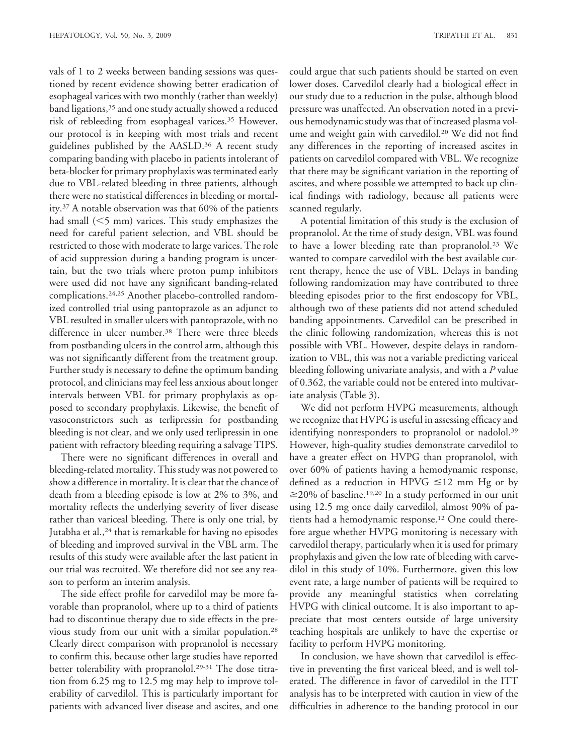vals of 1 to 2 weeks between banding sessions was questioned by recent evidence showing better eradication of esophageal varices with two monthly (rather than weekly) band ligations,35 and one study actually showed a reduced risk of rebleeding from esophageal varices.35 However, our protocol is in keeping with most trials and recent guidelines published by the AASLD.36 A recent study comparing banding with placebo in patients intolerant of beta-blocker for primary prophylaxis was terminated early due to VBL-related bleeding in three patients, although there were no statistical differences in bleeding or mortality.37 A notable observation was that 60% of the patients had small  $(<5$  mm) varices. This study emphasizes the need for careful patient selection, and VBL should be restricted to those with moderate to large varices. The role of acid suppression during a banding program is uncertain, but the two trials where proton pump inhibitors were used did not have any significant banding-related complications.24,25 Another placebo-controlled randomized controlled trial using pantoprazole as an adjunct to VBL resulted in smaller ulcers with pantoprazole, with no difference in ulcer number.<sup>38</sup> There were three bleeds from postbanding ulcers in the control arm, although this was not significantly different from the treatment group. Further study is necessary to define the optimum banding protocol, and clinicians may feel less anxious about longer intervals between VBL for primary prophylaxis as opposed to secondary prophylaxis. Likewise, the benefit of vasoconstrictors such as terlipressin for postbanding bleeding is not clear, and we only used terlipressin in one patient with refractory bleeding requiring a salvage TIPS.

There were no significant differences in overall and bleeding-related mortality. This study was not powered to show a difference in mortality. It is clear that the chance of death from a bleeding episode is low at 2% to 3%, and mortality reflects the underlying severity of liver disease rather than variceal bleeding. There is only one trial, by Jutabha et al.,<sup>24</sup> that is remarkable for having no episodes of bleeding and improved survival in the VBL arm. The results of this study were available after the last patient in our trial was recruited. We therefore did not see any reason to perform an interim analysis.

The side effect profile for carvedilol may be more favorable than propranolol, where up to a third of patients had to discontinue therapy due to side effects in the previous study from our unit with a similar population.28 Clearly direct comparison with propranolol is necessary to confirm this, because other large studies have reported better tolerability with propranolol.<sup>29-31</sup> The dose titration from 6.25 mg to 12.5 mg may help to improve tolerability of carvedilol. This is particularly important for patients with advanced liver disease and ascites, and one

could argue that such patients should be started on even lower doses. Carvedilol clearly had a biological effect in our study due to a reduction in the pulse, although blood pressure was unaffected. An observation noted in a previous hemodynamic study was that of increased plasma volume and weight gain with carvedilol.<sup>20</sup> We did not find any differences in the reporting of increased ascites in patients on carvedilol compared with VBL. We recognize that there may be significant variation in the reporting of ascites, and where possible we attempted to back up clinical findings with radiology, because all patients were scanned regularly.

A potential limitation of this study is the exclusion of propranolol. At the time of study design, VBL was found to have a lower bleeding rate than propranolol.23 We wanted to compare carvedilol with the best available current therapy, hence the use of VBL. Delays in banding following randomization may have contributed to three bleeding episodes prior to the first endoscopy for VBL, although two of these patients did not attend scheduled banding appointments. Carvedilol can be prescribed in the clinic following randomization, whereas this is not possible with VBL. However, despite delays in randomization to VBL, this was not a variable predicting variceal bleeding following univariate analysis, and with a *P* value of 0.362, the variable could not be entered into multivariate analysis (Table 3).

We did not perform HVPG measurements, although we recognize that HVPG is useful in assessing efficacy and identifying nonresponders to propranolol or nadolol.<sup>39</sup> However, high-quality studies demonstrate carvedilol to have a greater effect on HVPG than propranolol, with over 60% of patients having a hemodynamic response, defined as a reduction in HPVG  $\leq$ 12 mm Hg or by  $\geq$ 20% of baseline.<sup>19,20</sup> In a study performed in our unit using 12.5 mg once daily carvedilol, almost 90% of patients had a hemodynamic response.12 One could therefore argue whether HVPG monitoring is necessary with carvedilol therapy, particularly when it is used for primary prophylaxis and given the low rate of bleeding with carvedilol in this study of 10%. Furthermore, given this low event rate, a large number of patients will be required to provide any meaningful statistics when correlating HVPG with clinical outcome. It is also important to appreciate that most centers outside of large university teaching hospitals are unlikely to have the expertise or facility to perform HVPG monitoring.

In conclusion, we have shown that carvedilol is effective in preventing the first variceal bleed, and is well tolerated. The difference in favor of carvedilol in the ITT analysis has to be interpreted with caution in view of the difficulties in adherence to the banding protocol in our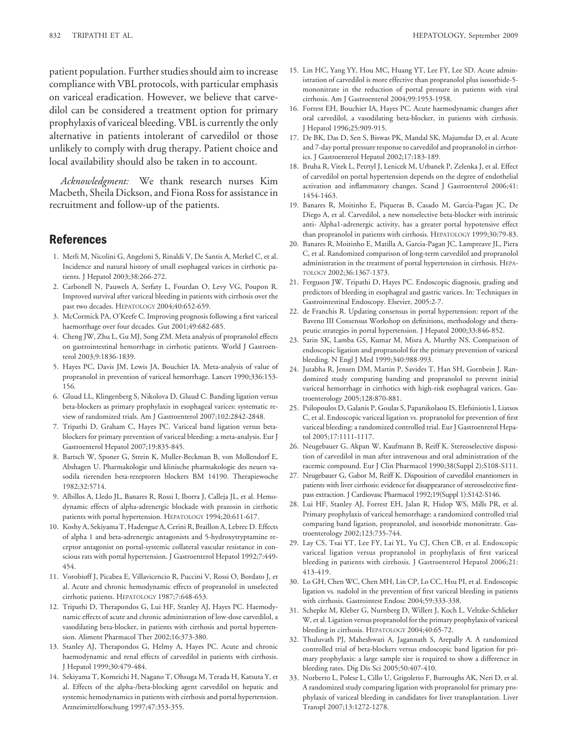patient population. Further studies should aim to increase compliance with VBL protocols, with particular emphasis on variceal eradication. However, we believe that carvedilol can be considered a treatment option for primary prophylaxis of variceal bleeding. VBL is currently the only alternative in patients intolerant of carvedilol or those unlikely to comply with drug therapy. Patient choice and local availability should also be taken in to account.

*Acknowledgment:* We thank research nurses Kim Macbeth, Sheila Dickson, and Fiona Ross for assistance in recruitment and follow-up of the patients.

# **References**

- 1. Merli M, Nicolini G, Angeloni S, Rinaldi V, De Santis A, Merkel C, et al. Incidence and natural history of small esophageal varices in cirrhotic patients. J Hepatol 2003;38:266-272.
- 2. Carbonell N, Pauwels A, Serfaty L, Fourdan O, Levy VG, Poupon R. Improved survival after variceal bleeding in patients with cirrhosis over the past two decades. HEPATOLOGY 2004;40:652-659.
- 3. McCormick PA, O'Keefe C. Improving prognosis following a first variceal haemorrhage over four decades. Gut 2001;49:682-685.
- 4. Cheng JW, Zhu L, Gu MJ, Song ZM. Meta analysis of propranolol effects on gastrointestinal hemorrhage in cirrhotic patients. World J Gastroenterol 2003;9:1836-1839.
- 5. Hayes PC, Davis JM, Lewis JA, Bouchier IA. Meta-analysis of value of propranolol in prevention of variceal hemorrhage. Lancet 1990;336:153- 156.
- 6. Gluud LL, Klingenberg S, Nikolova D, Gluud C. Banding ligation versus beta-blockers as primary prophylaxis in esophageal varices: systematic review of randomized trials. Am J Gastroenterol 2007;102:2842-2848.
- 7. Tripathi D, Graham C, Hayes PC. Variceal band ligation versus betablockers for primary prevention of variceal bleeding: a meta-analysis. Eur J Gastroenterol Hepatol 2007;19:835-845.
- 8. Bartsch W, Sponer G, Strein K, Muller-Beckman B, von Mollendorf E, Abshagen U. Pharmakologie und klinische pharmakologie des neuen vasodila tierenden beta-rezeptoren blockers BM 14190. Therapiewoche 1982;32:5714.
- 9. Albillos A, Lledo JL, Banares R, Rossi I, Iborra J, Calleja JL, et al. Hemodynamic effects of alpha-adrenergic blockade with prazosin in cirrhotic patients with portal hypertension. HEPATOLOGY 1994;20:611-617.
- 10. Koshy A, Sekiyama T, Hadengue A, Cerini R, Braillon A, Lebrec D. Effects of alpha 1 and beta-adrenergic antagonists and 5-hydroxytryptamine receptor antagonist on portal-systemic collateral vascular resistance in conscious rats with portal hypertension. J Gastroenterol Hepatol 1992;7:449- 454.
- 11. Vorobioff J, Picabea E, Villavicencio R, Puccini V, Rossi O, Bordato J, et al. Acute and chronic hemodynamic effects of propranolol in unselected cirrhotic patients. HEPATOLOGY 1987;7:648-653.
- 12. Tripathi D, Therapondos G, Lui HF, Stanley AJ, Hayes PC. Haemodynamic effects of acute and chronic administration of low-dose carvedilol, a vasodilating beta-blocker, in patients with cirrhosis and portal hypertension. Aliment Pharmacol Ther 2002;16:373-380.
- 13. Stanley AJ, Therapondos G, Helmy A, Hayes PC. Acute and chronic haemodynamic and renal effects of carvedilol in patients with cirrhosis. J Hepatol 1999;30:479-484.
- 14. Sekiyama T, Komeichi H, Nagano T, Ohsuga M, Terada H, Katsuta Y, et al. Effects of the alpha-/beta-blocking agent carvedilol on hepatic and systemic hemodynamics in patients with cirrhosis and portal hypertension. Arzneimittelforschung 1997;47:353-355.
- 15. Lin HC, Yang YY, Hou MC, Huang YT, Lee FY, Lee SD. Acute administration of carvedilol is more effective than propranolol plus isosorbide-5 mononitrate in the reduction of portal pressure in patients with viral cirrhosis. Am J Gastroenterol 2004;99:1953-1958.
- 16. Forrest EH, Bouchier IA, Hayes PC. Acute haemodynamic changes after oral carvedilol, a vasodilating beta-blocker, in patients with cirrhosis. J Hepatol 1996;25:909-915.
- 17. De BK, Das D, Sen S, Biswas PK, Mandal SK, Majumdar D, et al. Acute and 7-day portal pressure response to carvedilol and propranolol in cirrhotics. J Gastroenterol Hepatol 2002;17:183-189.
- 18. Bruha R, Vitek L, Petrtyl J, Lenicek M, Urbanek P, Zelenka J, et al. Effect of carvedilol on portal hypertension depends on the degree of endothelial activation and inflammatory changes. Scand J Gastroenterol 2006;41: 1454-1463.
- 19. Banares R, Moitinho E, Piqueras B, Casado M, Garcia-Pagan JC, De Diego A, et al. Carvedilol, a new nonselective beta-blocker with intrinsic anti- Alpha1-adrenergic activity, has a greater portal hypotensive effect than propranolol in patients with cirrhosis. HEPATOLOGY 1999;30:79-83.
- 20. Banares R, Moitinho E, Matilla A, Garcia-Pagan JC, Lampreave JL, Piera C, et al. Randomized comparison of long-term carvedilol and propranolol administration in the treatment of portal hypertension in cirrhosis. HEPA-TOLOGY 2002;36:1367-1373.
- 21. Ferguson JW, Tripathi D, Hayes PC. Endoscopic diagnosis, grading and predictors of bleeding in esophageal and gastric varices. In: Techniques in Gastrointestinal Endoscopy. Elsevier, 2005:2-7.
- 22. de Franchis R. Updating consensus in portal hypertension: report of the Baveno III Consensus Workshop on definitions, methodology and therapeutic strategies in portal hypertension. J Hepatol 2000;33:846-852.
- 23. Sarin SK, Lamba GS, Kumar M, Misra A, Murthy NS. Comparison of endoscopic ligation and propranolol for the primary prevention of variceal bleeding. N Engl J Med 1999;340:988-993.
- 24. Jutabha R, Jensen DM, Martin P, Savides T, Han SH, Gornbein J. Randomized study comparing banding and propranolol to prevent initial variceal hemorrhage in cirrhotics with high-risk esophageal varices. Gastroenterology 2005;128:870-881.
- 25. Psilopoulos D, Galanis P, Goulas S, Papanikolaou IS, Elefsiniotis I, Liatsos C, et al. Endoscopic variceal ligation vs. propranolol for prevention of first variceal bleeding: a randomized controlled trial. Eur J Gastroenterol Hepatol 2005;17:1111-1117.
- 26. Neugebauer G, Akpan W, Kaufmann B, Reiff K. Stereoselective disposition of carvedilol in man after intravenous and oral administration of the racemic compound. Eur J Clin Pharmacol 1990;38(Suppl 2):S108-S111.
- 27. Neugebauer G, Gabor M, Reiff K. Disposition of carvedilol enantiomers in patients with liver cirrhosis: evidence for disappearance of stereoselective firstpass extraction. J Cardiovasc Pharmacol 1992;19(Suppl 1):S142-S146.
- 28. Lui HF, Stanley AJ, Forrest EH, Jalan R, Hislop WS, Mills PR, et al. Primary prophylaxis of variceal hemorrhage: a randomized controlled trial comparing band ligation, propranolol, and isosorbide mononitrate. Gastroenterology 2002;123:735-744.
- 29. Lay CS, Tsai YT, Lee FY, Lai YL, Yu CJ, Chen CB, et al. Endoscopic variceal ligation versus propranolol in prophylaxis of first variceal bleeding in patients with cirrhosis. J Gastroenterol Hepatol 2006;21: 413-419.
- 30. Lo GH, Chen WC, Chen MH, Lin CP, Lo CC, Hsu PI, et al. Endoscopic ligation vs. nadolol in the prevention of first variceal bleeding in patients with cirrhosis. Gastrointest Endosc 2004;59:333-338.
- 31. Schepke M, Kleber G, Nurnberg D, Willert J, Koch L, Veltzke-Schlieker W, et al. Ligation versus propranolol for the primary prophylaxis of variceal bleeding in cirrhosis. HEPATOLOGY 2004;40:65-72.
- 32. Thuluvath PJ, Maheshwari A, Jagannath S, Arepally A. A randomized controlled trial of beta-blockers versus endoscopic band ligation for primary prophylaxis: a large sample size is required to show a difference in bleeding rates. Dig Dis Sci 2005;50:407-410.
- 33. Norberto L, Polese L, Cillo U, Grigoletto F, Burroughs AK, Neri D, et al. A randomized study comparing ligation with propranolol for primary prophylaxis of variceal bleeding in candidates for liver transplantation. Liver Transpl 2007;13:1272-1278.